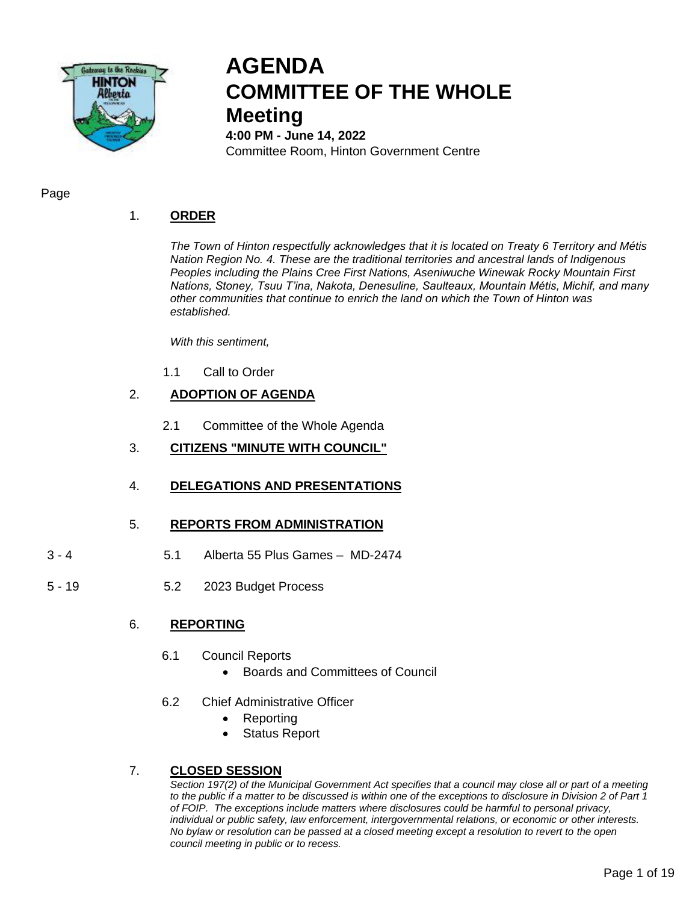

# **AGENDA COMMITTEE OF THE WHOLE Meeting**

**4:00 PM - June 14, 2022** Committee Room, Hinton Government Centre

Page

# 1. **ORDER**

*The Town of Hinton respectfully acknowledges that it is located on Treaty 6 Territory and Métis Nation Region No. 4. These are the traditional territories and ancestral lands of Indigenous Peoples including the Plains Cree First Nations, Aseniwuche Winewak Rocky Mountain First Nations, Stoney, Tsuu T'ina, Nakota, Denesuline, Saulteaux, Mountain Métis, Michif, and many other communities that continue to enrich the land on which the Town of Hinton was established.* 

*With this sentiment,* 

1.1 Call to Order

# 2. **ADOPTION OF AGENDA**

- 2.1 Committee of the Whole Agenda
- 3. **CITIZENS "MINUTE WITH COUNCIL"**
- 4. **DELEGATIONS AND PRESENTATIONS**

# 5. **REPORTS FROM ADMINISTRATION**

- 3 4 5.1 Alberta 55 Plus Games MD-2474
- 5 19 5.2 2023 Budget Process

# 6. **REPORTING**

- 6.1 Council Reports
	- Boards and Committees of Council
- 6.2 Chief Administrative Officer
	- Reporting
	- Status Report

# 7. **CLOSED SESSION**

*Section 197(2) of the Municipal Government Act specifies that a council may close all or part of a meeting to the public if a matter to be discussed is within one of the exceptions to disclosure in Division 2 of Part 1 of FOIP. The exceptions include matters where disclosures could be harmful to personal privacy, individual or public safety, law enforcement, intergovernmental relations, or economic or other interests. No bylaw or resolution can be passed at a closed meeting except a resolution to revert to the open council meeting in public or to recess.*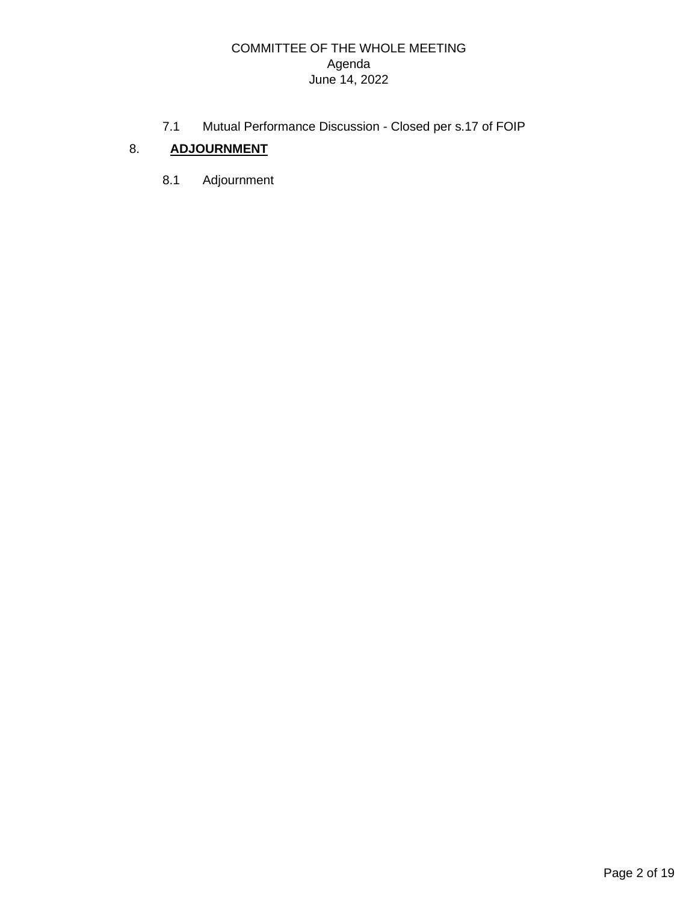# COMMITTEE OF THE WHOLE MEETING Agenda June 14, 2022

7.1 Mutual Performance Discussion - Closed per s.17 of FOIP

# 8. **ADJOURNMENT**

8.1 Adjournment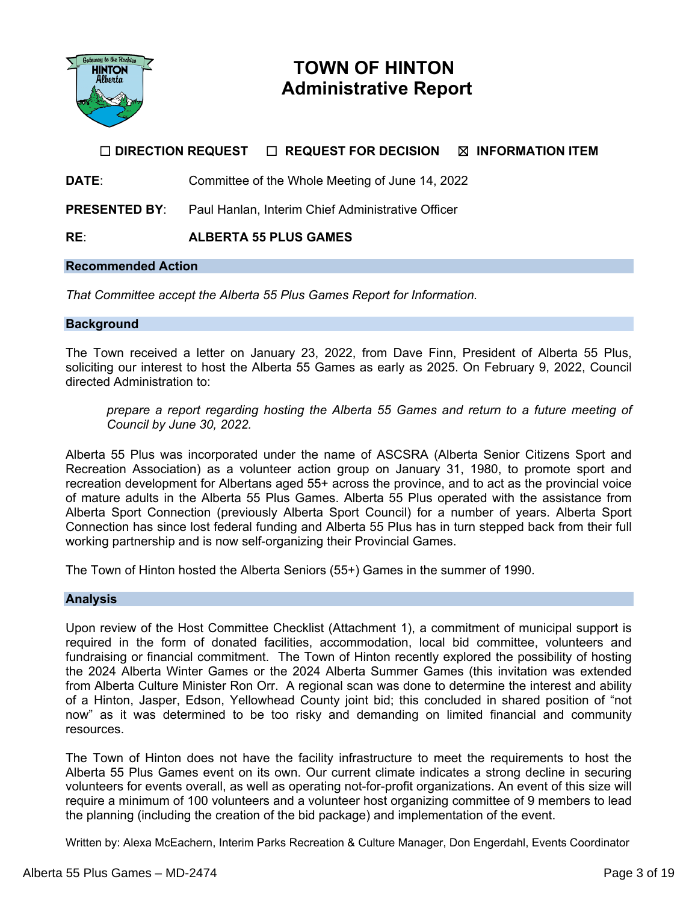

# **TOWN OF HINTON Administrative Report**

# **☐ DIRECTION REQUEST ☐ REQUEST FOR DECISION ☒ INFORMATION ITEM**

**DATE:** Committee of the Whole Meeting of June 14, 2022

**PRESENTED BY**: Paul Hanlan, Interim Chief Administrative Officer

# **RE**: **ALBERTA 55 PLUS GAMES**

### **Recommended Action**

*That Committee accept the Alberta 55 Plus Games Report for Information.*

### **Background**

The Town received a letter on January 23, 2022, from Dave Finn, President of Alberta 55 Plus, soliciting our interest to host the Alberta 55 Games as early as 2025. On February 9, 2022, Council directed Administration to:

*prepare a report regarding hosting the Alberta 55 Games and return to a future meeting of Council by June 30, 2022.*

Alberta 55 Plus was incorporated under the name of ASCSRA (Alberta Senior Citizens Sport and Recreation Association) as a volunteer action group on January 31, 1980, to promote sport and recreation development for Albertans aged 55+ across the province, and to act as the provincial voice of mature adults in the Alberta 55 Plus Games. Alberta 55 Plus operated with the assistance from Alberta Sport Connection (previously Alberta Sport Council) for a number of years. Alberta Sport Connection has since lost federal funding and Alberta 55 Plus has in turn stepped back from their full working partnership and is now self-organizing their Provincial Games.

The Town of Hinton hosted the Alberta Seniors (55+) Games in the summer of 1990.

### **Analysis**

Upon review of the Host Committee Checklist (Attachment 1), a commitment of municipal support is required in the form of donated facilities, accommodation, local bid committee, volunteers and fundraising or financial commitment. The Town of Hinton recently explored the possibility of hosting the 2024 Alberta Winter Games or the 2024 Alberta Summer Games (this invitation was extended from Alberta Culture Minister Ron Orr. A regional scan was done to determine the interest and ability of a Hinton, Jasper, Edson, Yellowhead County joint bid; this concluded in shared position of "not now" as it was determined to be too risky and demanding on limited financial and community resources.

The Town of Hinton does not have the facility infrastructure to meet the requirements to host the Alberta 55 Plus Games event on its own. Our current climate indicates a strong decline in securing volunteers for events overall, as well as operating not-for-profit organizations. An event of this size will require a minimum of 100 volunteers and a volunteer host organizing committee of 9 members to lead the planning (including the creation of the bid package) and implementation of the event.

Written by: Alexa McEachern, Interim Parks Recreation & Culture Manager, Don Engerdahl, Events Coordinator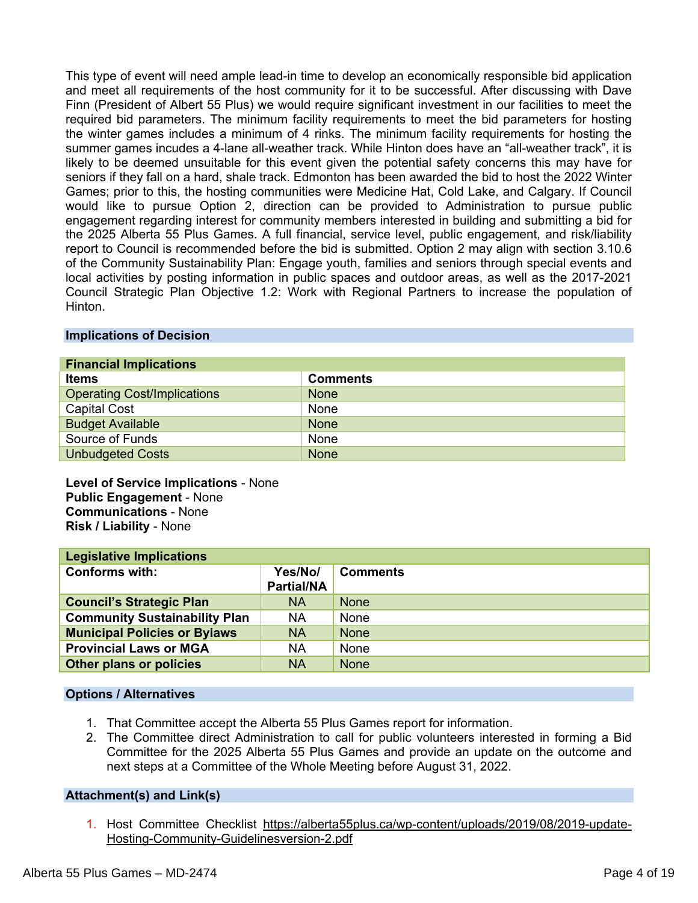This type of event will need ample lead-in time to develop an economically responsible bid application and meet all requirements of the host community for it to be successful. After discussing with Dave Finn (President of Albert 55 Plus) we would require significant investment in our facilities to meet the required bid parameters. The minimum facility requirements to meet the bid parameters for hosting the winter games includes a minimum of 4 rinks. The minimum facility requirements for hosting the summer games incudes a 4-lane all-weather track. While Hinton does have an "all-weather track", it is likely to be deemed unsuitable for this event given the potential safety concerns this may have for seniors if they fall on a hard, shale track. Edmonton has been awarded the bid to host the 2022 Winter Games; prior to this, the hosting communities were Medicine Hat, Cold Lake, and Calgary. If Council would like to pursue Option 2, direction can be provided to Administration to pursue public engagement regarding interest for community members interested in building and submitting a bid for the 2025 Alberta 55 Plus Games. A full financial, service level, public engagement, and risk/liability report to Council is recommended before the bid is submitted. Option 2 may align with section 3.10.6 of the Community Sustainability Plan: Engage youth, families and seniors through special events and local activities by posting information in public spaces and outdoor areas, as well as the 2017-2021 Council Strategic Plan Objective 1.2: Work with Regional Partners to increase the population of Hinton.

## **Implications of Decision**

| <b>Financial Implications</b>      |                 |  |
|------------------------------------|-----------------|--|
| <b>Items</b>                       | <b>Comments</b> |  |
| <b>Operating Cost/Implications</b> | <b>None</b>     |  |
| <b>Capital Cost</b>                | None            |  |
| <b>Budget Available</b>            | <b>None</b>     |  |
| Source of Funds                    | None            |  |
| <b>Unbudgeted Costs</b>            | <b>None</b>     |  |

**Level of Service Implications** - None **Public Engagement** - None **Communications** - None **Risk / Liability** - None

| <b>Legislative Implications</b>      |                              |                 |  |
|--------------------------------------|------------------------------|-----------------|--|
| <b>Conforms with:</b>                | Yes/No/<br><b>Partial/NA</b> | <b>Comments</b> |  |
| <b>Council's Strategic Plan</b>      | <b>NA</b>                    | <b>None</b>     |  |
| <b>Community Sustainability Plan</b> | <b>NA</b>                    | None            |  |
| <b>Municipal Policies or Bylaws</b>  | <b>NA</b>                    | <b>None</b>     |  |
| <b>Provincial Laws or MGA</b>        | <b>NA</b>                    | None            |  |
| Other plans or policies              | <b>NA</b>                    | <b>None</b>     |  |

### **Options / Alternatives**

- 1. That Committee accept the Alberta 55 Plus Games report for information.
- 2. The Committee direct Administration to call for public volunteers interested in forming a Bid Committee for the 2025 Alberta 55 Plus Games and provide an update on the outcome and next steps at a Committee of the Whole Meeting before August 31, 2022.

# **Attachment(s) and Link(s)**

1. Host Committee Checklist [https://alberta55plus.ca/wp-content/uploads/2019/08/2019-update-](https://alberta55plus.ca/wp-content/uploads/2019/08/2019-update-Hosting-Community-Guidelinesversion-2.pdf)[Hosting-Community-Guidelinesversion-2.pdf](https://alberta55plus.ca/wp-content/uploads/2019/08/2019-update-Hosting-Community-Guidelinesversion-2.pdf)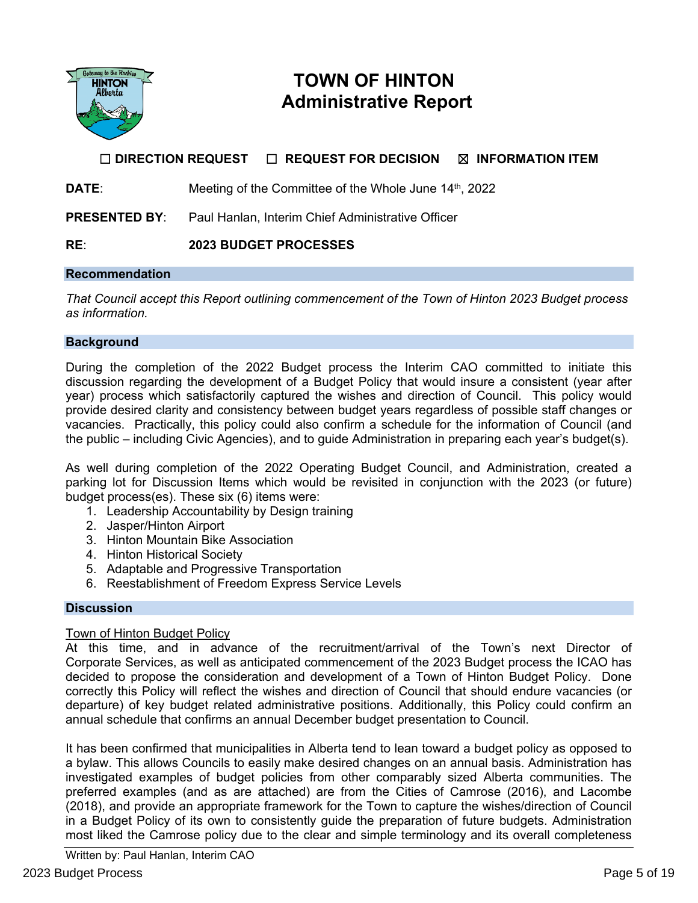

# **TOWN OF HINTON Administrative Report**

# **☐ DIRECTION REQUEST ☐ REQUEST FOR DECISION ☒ INFORMATION ITEM**

**DATE:** Meeting of the Committee of the Whole June 14<sup>th</sup>, 2022

**PRESENTED BY:** Paul Hanlan, Interim Chief Administrative Officer

**RE**: **2023 BUDGET PROCESSES**

#### **Recommendation**

*That Council accept this Report outlining commencement of the Town of Hinton 2023 Budget process as information.* 

## **Background**

During the completion of the 2022 Budget process the Interim CAO committed to initiate this discussion regarding the development of a Budget Policy that would insure a consistent (year after year) process which satisfactorily captured the wishes and direction of Council. This policy would provide desired clarity and consistency between budget years regardless of possible staff changes or vacancies. Practically, this policy could also confirm a schedule for the information of Council (and the public – including Civic Agencies), and to guide Administration in preparing each year's budget(s).

As well during completion of the 2022 Operating Budget Council, and Administration, created a parking lot for Discussion Items which would be revisited in conjunction with the 2023 (or future) budget process(es). These six (6) items were:

- 1. Leadership Accountability by Design training
- 2. Jasper/Hinton Airport
- 3. Hinton Mountain Bike Association
- 4. Hinton Historical Society
- 5. Adaptable and Progressive Transportation
- 6. Reestablishment of Freedom Express Service Levels

### **Discussion**

### Town of Hinton Budget Policy

At this time, and in advance of the recruitment/arrival of the Town's next Director of Corporate Services, as well as anticipated commencement of the 2023 Budget process the ICAO has decided to propose the consideration and development of a Town of Hinton Budget Policy. Done correctly this Policy will reflect the wishes and direction of Council that should endure vacancies (or departure) of key budget related administrative positions. Additionally, this Policy could confirm an annual schedule that confirms an annual December budget presentation to Council.

It has been confirmed that municipalities in Alberta tend to lean toward a budget policy as opposed to a bylaw. This allows Councils to easily make desired changes on an annual basis. Administration has investigated examples of budget policies from other comparably sized Alberta communities. The preferred examples (and as are attached) are from the Cities of Camrose (2016), and Lacombe (2018), and provide an appropriate framework for the Town to capture the wishes/direction of Council in a Budget Policy of its own to consistently guide the preparation of future budgets. Administration most liked the Camrose policy due to the clear and simple terminology and its overall completeness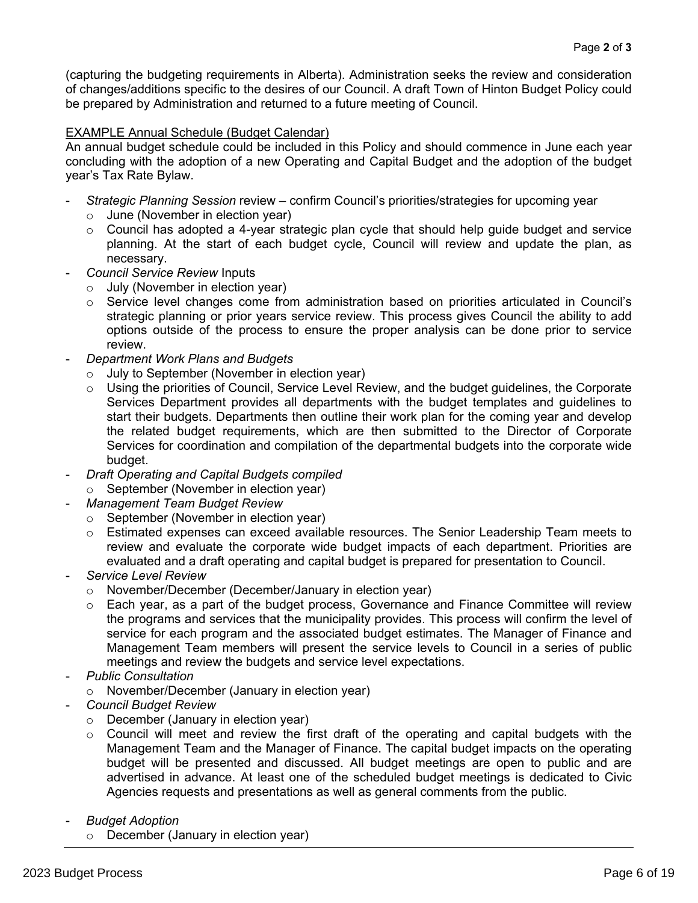(capturing the budgeting requirements in Alberta). Administration seeks the review and consideration of changes/additions specific to the desires of our Council. A draft Town of Hinton Budget Policy could be prepared by Administration and returned to a future meeting of Council.

## EXAMPLE Annual Schedule (Budget Calendar)

An annual budget schedule could be included in this Policy and should commence in June each year concluding with the adoption of a new Operating and Capital Budget and the adoption of the budget year's Tax Rate Bylaw.

- *Strategic Planning Session* review confirm Council's priorities/strategies for upcoming year
	- $\circ$  June (November in election year)
	- o Council has adopted a 4-year strategic plan cycle that should help guide budget and service planning. At the start of each budget cycle, Council will review and update the plan, as necessary.
- *Council Service Review* Inputs
	- $\circ$  July (November in election year)
	- $\circ$  Service level changes come from administration based on priorities articulated in Council's strategic planning or prior years service review. This process gives Council the ability to add options outside of the process to ensure the proper analysis can be done prior to service review.
- *Department Work Plans and Budgets*
	- o July to September (November in election year)
	- o Using the priorities of Council, Service Level Review, and the budget guidelines, the Corporate Services Department provides all departments with the budget templates and guidelines to start their budgets. Departments then outline their work plan for the coming year and develop the related budget requirements, which are then submitted to the Director of Corporate Services for coordination and compilation of the departmental budgets into the corporate wide budget.
- *Draft Operating and Capital Budgets compiled* 
	- o September (November in election year)
- *Management Team Budget Review*
	- o September (November in election year)
	- o Estimated expenses can exceed available resources. The Senior Leadership Team meets to review and evaluate the corporate wide budget impacts of each department. Priorities are evaluated and a draft operating and capital budget is prepared for presentation to Council.
- *Service Level Review*
	- o November/December (December/January in election year)
	- $\circ$  Each year, as a part of the budget process, Governance and Finance Committee will review the programs and services that the municipality provides. This process will confirm the level of service for each program and the associated budget estimates. The Manager of Finance and Management Team members will present the service levels to Council in a series of public meetings and review the budgets and service level expectations.
- *Public Consultation*
	- o November/December (January in election year)
- *Council Budget Review*
	- o December (January in election year)
	- o Council will meet and review the first draft of the operating and capital budgets with the Management Team and the Manager of Finance. The capital budget impacts on the operating budget will be presented and discussed. All budget meetings are open to public and are advertised in advance. At least one of the scheduled budget meetings is dedicated to Civic Agencies requests and presentations as well as general comments from the public.
- *Budget Adoption*
	- o December (January in election year)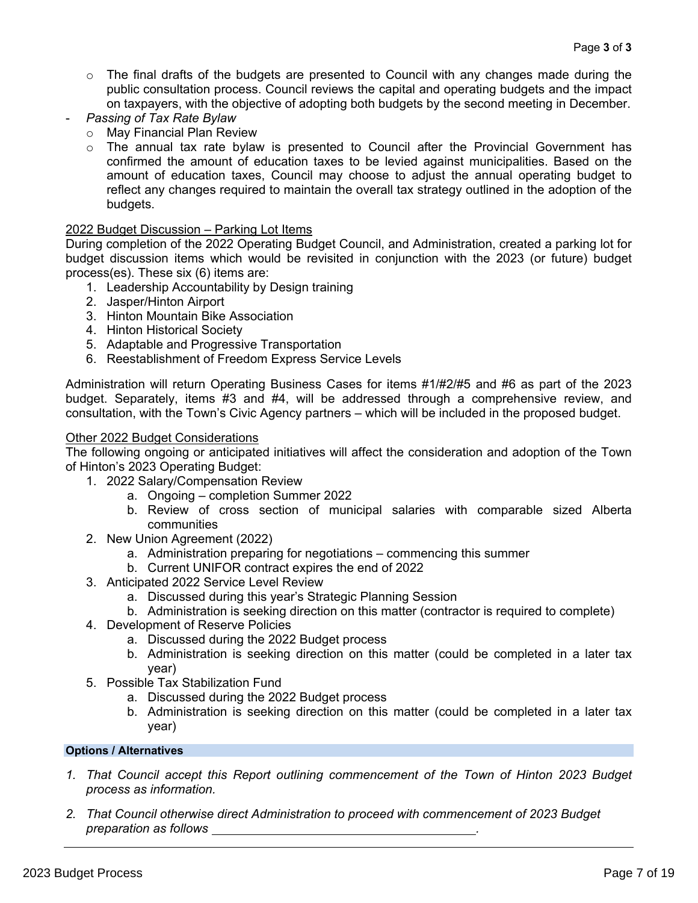- $\circ$  The final drafts of the budgets are presented to Council with any changes made during the public consultation process. Council reviews the capital and operating budgets and the impact on taxpayers, with the objective of adopting both budgets by the second meeting in December.
- *Passing of Tax Rate Bylaw*
	- o May Financial Plan Review
	- $\circ$  The annual tax rate bylaw is presented to Council after the Provincial Government has confirmed the amount of education taxes to be levied against municipalities. Based on the amount of education taxes, Council may choose to adjust the annual operating budget to reflect any changes required to maintain the overall tax strategy outlined in the adoption of the budgets.

# 2022 Budget Discussion – Parking Lot Items

During completion of the 2022 Operating Budget Council, and Administration, created a parking lot for budget discussion items which would be revisited in conjunction with the 2023 (or future) budget process(es). These six (6) items are:

- 1. Leadership Accountability by Design training
- 2. Jasper/Hinton Airport
- 3. Hinton Mountain Bike Association
- 4. Hinton Historical Society
- 5. Adaptable and Progressive Transportation
- 6. Reestablishment of Freedom Express Service Levels

Administration will return Operating Business Cases for items #1/#2/#5 and #6 as part of the 2023 budget. Separately, items #3 and #4, will be addressed through a comprehensive review, and consultation, with the Town's Civic Agency partners – which will be included in the proposed budget.

#### Other 2022 Budget Considerations

The following ongoing or anticipated initiatives will affect the consideration and adoption of the Town of Hinton's 2023 Operating Budget:

- 1. 2022 Salary/Compensation Review
	- a. Ongoing completion Summer 2022
	- b. Review of cross section of municipal salaries with comparable sized Alberta communities
- 2. New Union Agreement (2022)
	- a. Administration preparing for negotiations commencing this summer
	- b. Current UNIFOR contract expires the end of 2022
- 3. Anticipated 2022 Service Level Review
	- a. Discussed during this year's Strategic Planning Session
	- b. Administration is seeking direction on this matter (contractor is required to complete)
- 4. Development of Reserve Policies
	- a. Discussed during the 2022 Budget process
	- b. Administration is seeking direction on this matter (could be completed in a later tax year)
- 5. Possible Tax Stabilization Fund
	- a. Discussed during the 2022 Budget process
	- b. Administration is seeking direction on this matter (could be completed in a later tax year)

### **Options / Alternatives**

- *1. That Council accept this Report outlining commencement of the Town of Hinton 2023 Budget process as information.*
- *2. That Council otherwise direct Administration to proceed with commencement of 2023 Budget preparation as follows .*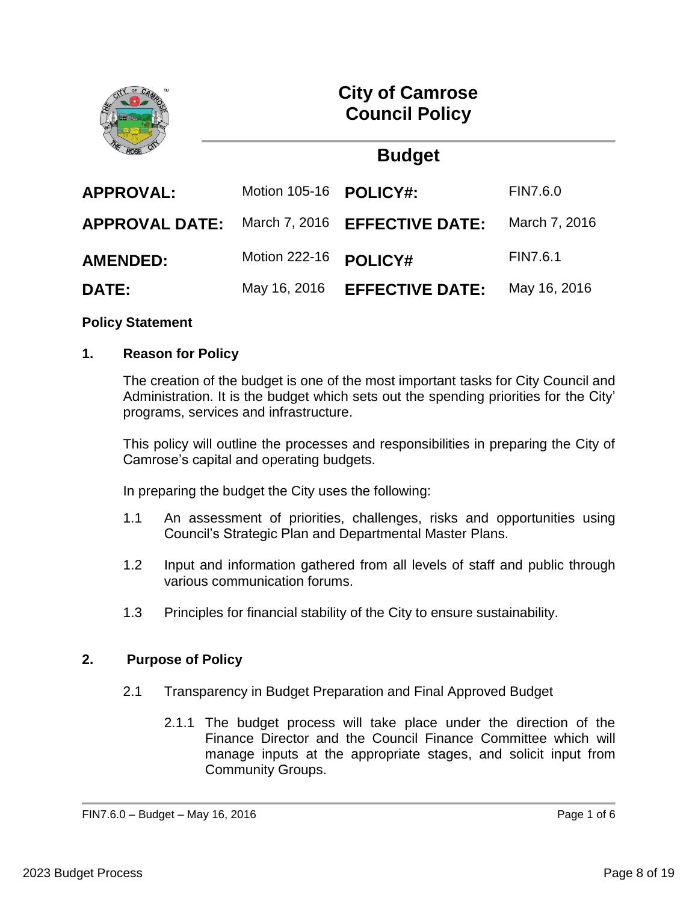

**City of Camrose Council Policy** 

# **Budget**

| <b>APPROVAL:</b>      | Motion 105-16 <b>POLICY#:</b> |                                      | <b>FIN7.6.0</b> |
|-----------------------|-------------------------------|--------------------------------------|-----------------|
| <b>APPROVAL DATE:</b> |                               | March 7, 2016 <b>EFFECTIVE DATE:</b> | March 7, 2016   |
| <b>AMENDED:</b>       | Motion 222-16 POLICY#         |                                      | FIN7.6.1        |
| <b>DATE:</b>          | May 16, 2016                  | <b>EFFECTIVE DATE:</b>               | May 16, 2016    |

# **Policy Statement**

# **1. Reason for Policy**

The creation of the budget is one of the most important tasks for City Council and Administration. It is the budget which sets out the spending priorities for the City' programs, services and infrastructure.

This policy will outline the processes and responsibilities in preparing the City of Camrose's capital and operating budgets.

In preparing the budget the City uses the following:

- 1.1 An assessment of priorities, challenges, risks and opportunities using Council's Strategic Plan and Departmental Master Plans.
- 1.2 Input and information gathered from all levels of staff and public through various communication forums.
- 1.3 Principles for financial stability of the City to ensure sustainability.

# **2. Purpose of Policy**

- 2.1 Transparency in Budget Preparation and Final Approved Budget
	- 2.1.1 The budget process will take place under the direction of the Finance Director and the Council Finance Committee which will manage inputs at the appropriate stages, and solicit input from Community Groups.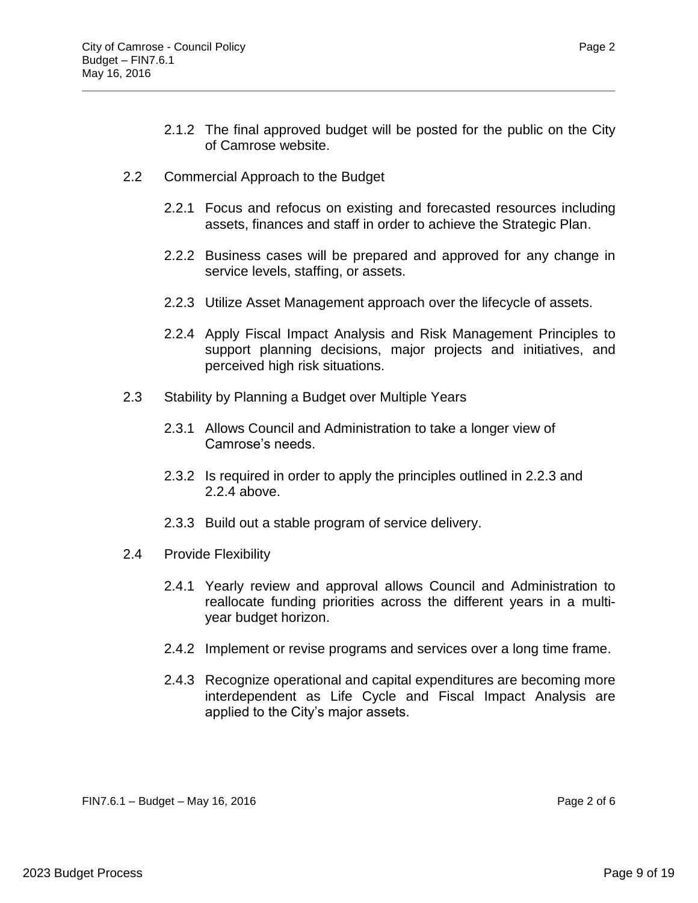- 2.1.2 The final approved budget will be posted for the public on the City of Camrose website.
- 2.2 Commercial Approach to the Budget
	- 2.2.1 Focus and refocus on existing and forecasted resources including assets, finances and staff in order to achieve the Strategic Plan.
	- 2.2.2 Business cases will be prepared and approved for any change in service levels, staffing, or assets.
	- 2.2.3 Utilize Asset Management approach over the lifecycle of assets.
	- 2.2.4 Apply Fiscal Impact Analysis and Risk Management Principles to support planning decisions, major projects and initiatives, and perceived high risk situations.
- 2.3 Stability by Planning a Budget over Multiple Years
	- 2.3.1 Allows Council and Administration to take a longer view of Camrose's needs.
	- 2.3.2 Is required in order to apply the principles outlined in 2.2.3 and 2.2.4 above.
	- 2.3.3 Build out a stable program of service delivery.
- 2.4 Provide Flexibility
	- 2.4.1 Yearly review and approval allows Council and Administration to reallocate funding priorities across the different years in a multiyear budget horizon.
	- 2.4.2 Implement or revise programs and services over a long time frame.
	- 2.4.3 Recognize operational and capital expenditures are becoming more interdependent as Life Cycle and Fiscal Impact Analysis are applied to the City's major assets.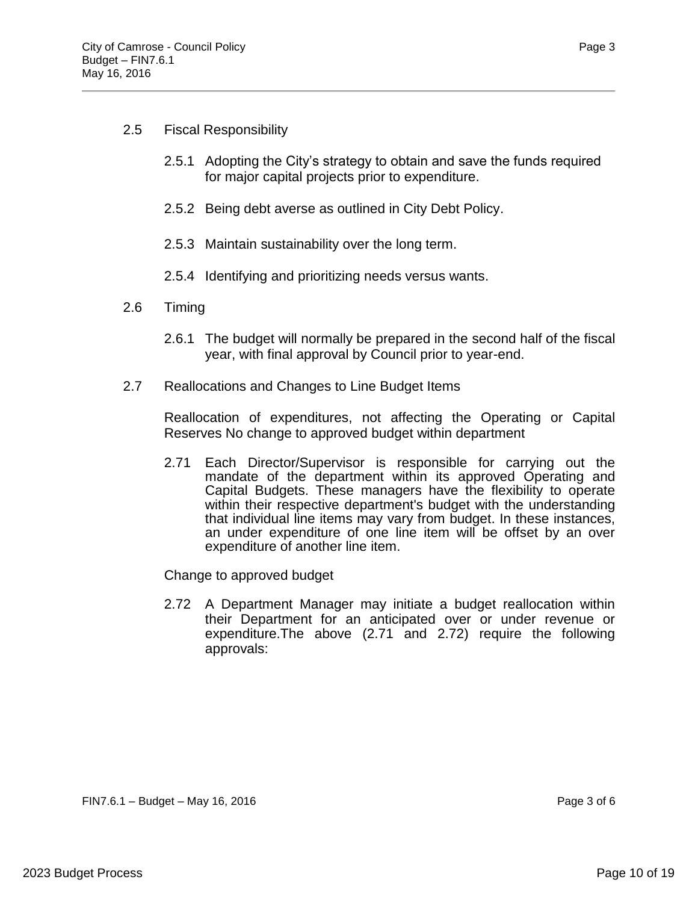# 2.5 Fiscal Responsibility

- 2.5.1 Adopting the City's strategy to obtain and save the funds required for major capital projects prior to expenditure.
- 2.5.2 Being debt averse as outlined in City Debt Policy.
- 2.5.3 Maintain sustainability over the long term.
- 2.5.4 Identifying and prioritizing needs versus wants.
- 2.6 Timing
	- 2.6.1 The budget will normally be prepared in the second half of the fiscal year, with final approval by Council prior to year-end.
- 2.7 Reallocations and Changes to Line Budget Items

Reallocation of expenditures, not affecting the Operating or Capital Reserves No change to approved budget within department

2.71 Each Director/Supervisor is responsible for carrying out the mandate of the department within its approved Operating and Capital Budgets. These managers have the flexibility to operate within their respective department's budget with the understanding that individual line items may vary from budget. In these instances, an under expenditure of one line item will be offset by an over expenditure of another line item.

Change to approved budget

2.72 A Department Manager may initiate a budget reallocation within their Department for an anticipated over or under revenue or expenditure.The above (2.71 and 2.72) require the following approvals: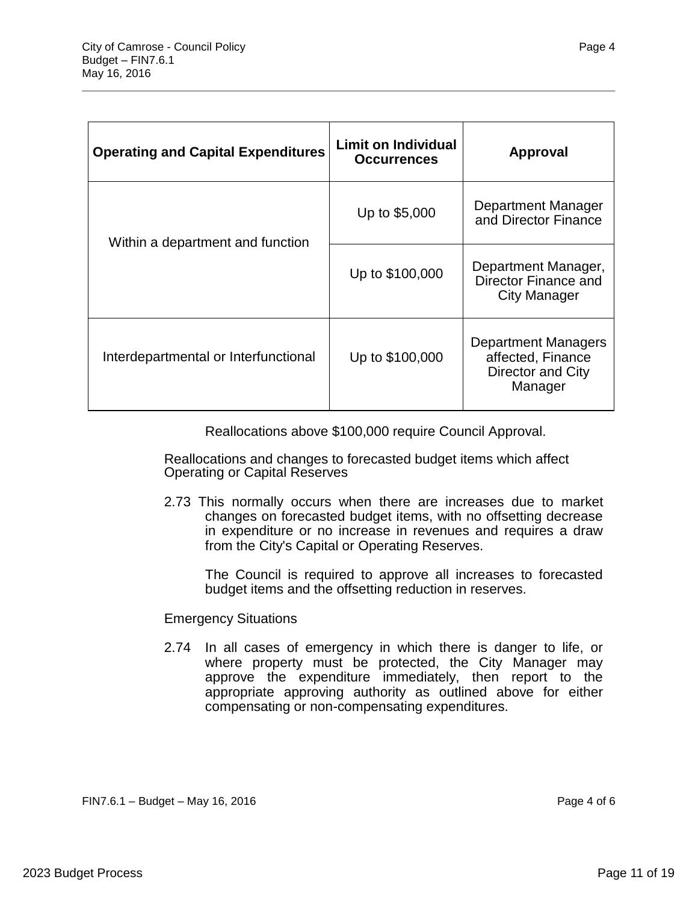| <b>Operating and Capital Expenditures</b> | <b>Limit on Individual</b><br><b>Occurrences</b> | <b>Approval</b>                                                                 |
|-------------------------------------------|--------------------------------------------------|---------------------------------------------------------------------------------|
| Within a department and function          | Up to \$5,000                                    | <b>Department Manager</b><br>and Director Finance                               |
|                                           | Up to \$100,000                                  | Department Manager,<br>Director Finance and<br>City Manager                     |
| Interdepartmental or Interfunctional      | Up to \$100,000                                  | <b>Department Managers</b><br>affected, Finance<br>Director and City<br>Manager |

Reallocations above \$100,000 require Council Approval.

Reallocations and changes to forecasted budget items which affect Operating or Capital Reserves

2.73 This normally occurs when there are increases due to market changes on forecasted budget items, with no offsetting decrease in expenditure or no increase in revenues and requires a draw from the City's Capital or Operating Reserves.

The Council is required to approve all increases to forecasted budget items and the offsetting reduction in reserves.

### Emergency Situations

2.74 In all cases of emergency in which there is danger to life, or where property must be protected, the City Manager may approve the expenditure immediately, then report to the appropriate approving authority as outlined above for either compensating or non-compensating expenditures.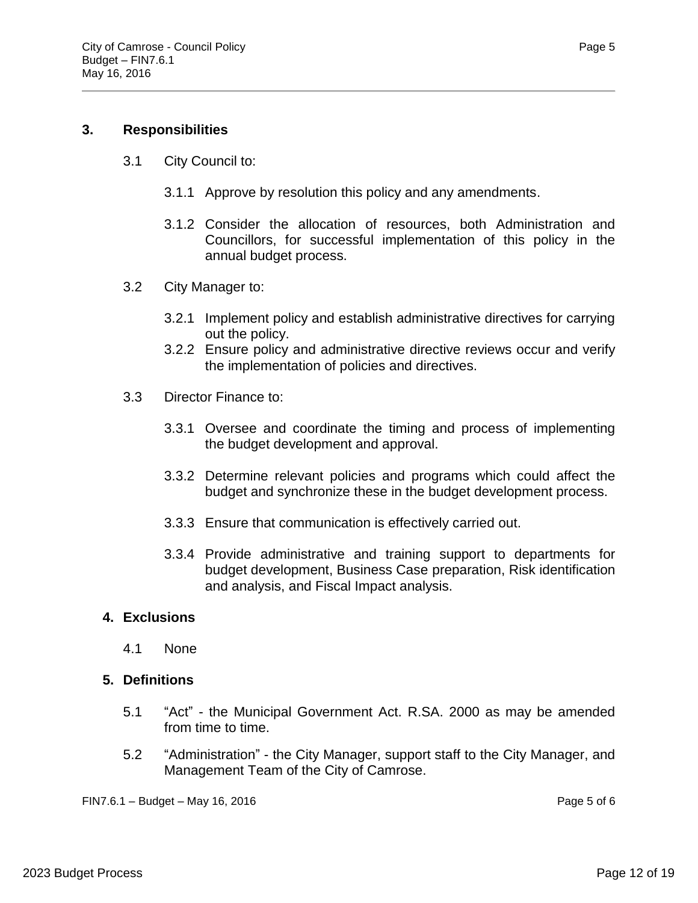# **3. Responsibilities**

- 3.1 City Council to:
	- 3.1.1 Approve by resolution this policy and any amendments.
	- 3.1.2 Consider the allocation of resources, both Administration and Councillors, for successful implementation of this policy in the annual budget process.
- 3.2 City Manager to:
	- 3.2.1 Implement policy and establish administrative directives for carrying out the policy.
	- 3.2.2 Ensure policy and administrative directive reviews occur and verify the implementation of policies and directives.
- 3.3 Director Finance to:
	- 3.3.1 Oversee and coordinate the timing and process of implementing the budget development and approval.
	- 3.3.2 Determine relevant policies and programs which could affect the budget and synchronize these in the budget development process.
	- 3.3.3 Ensure that communication is effectively carried out.
	- 3.3.4 Provide administrative and training support to departments for budget development, Business Case preparation, Risk identification and analysis, and Fiscal Impact analysis.

# **4. Exclusions**

4.1 None

# **5. Definitions**

- 5.1 "Act" the Municipal Government Act. R.SA. 2000 as may be amended from time to time.
- 5.2 "Administration" the City Manager, support staff to the City Manager, and Management Team of the City of Camrose.

FIN7.6.1 – Budget – May 16, 2016 Page 5 of 6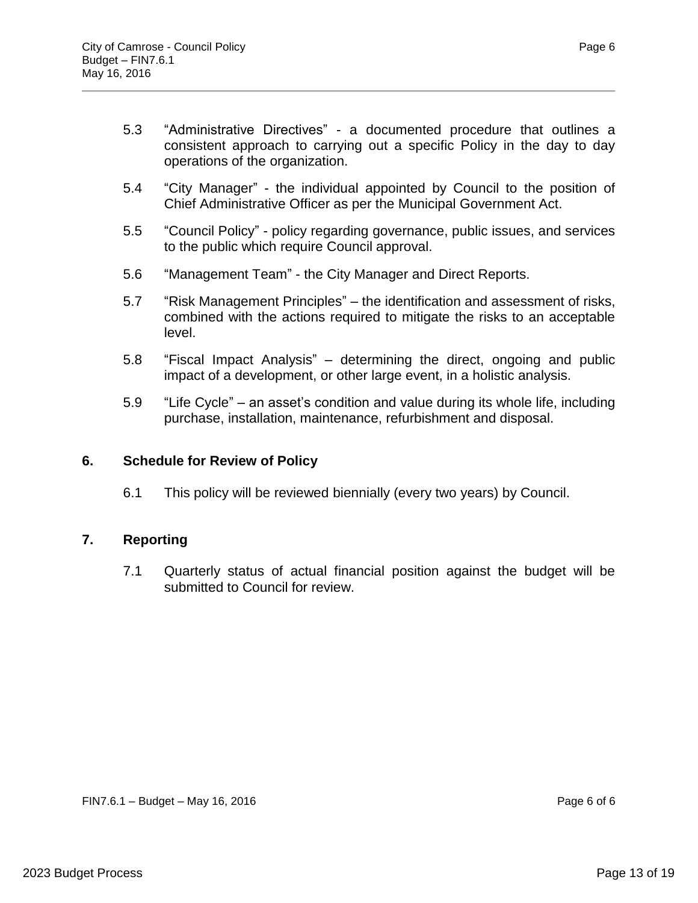- 5.3 "Administrative Directives" a documented procedure that outlines a consistent approach to carrying out a specific Policy in the day to day operations of the organization.
- 5.4 "City Manager" the individual appointed by Council to the position of Chief Administrative Officer as per the Municipal Government Act.
- 5.5 "Council Policy" policy regarding governance, public issues, and services to the public which require Council approval.
- 5.6 "Management Team" the City Manager and Direct Reports.
- 5.7 "Risk Management Principles" the identification and assessment of risks, combined with the actions required to mitigate the risks to an acceptable level.
- 5.8 "Fiscal Impact Analysis" determining the direct, ongoing and public impact of a development, or other large event, in a holistic analysis.
- 5.9 "Life Cycle" an asset's condition and value during its whole life, including purchase, installation, maintenance, refurbishment and disposal.

# **6. Schedule for Review of Policy**

6.1 This policy will be reviewed biennially (every two years) by Council.

# **7. Reporting**

7.1 Quarterly status of actual financial position against the budget will be submitted to Council for review.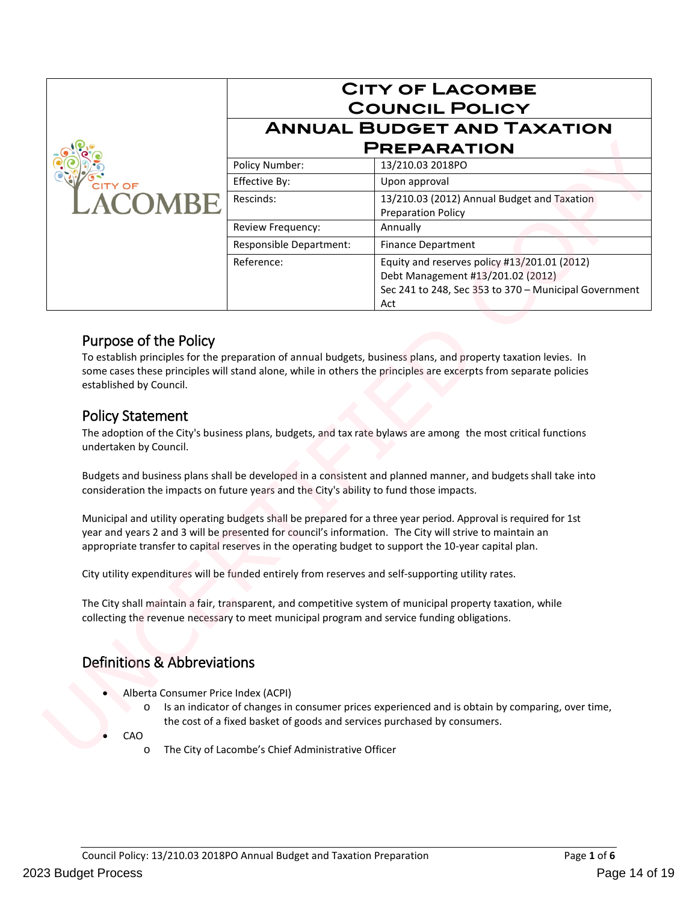|                |                                                         | <b>CITY OF LACOMBE</b><br><b>COUNCIL POLICY</b>                                                                                                   |  |
|----------------|---------------------------------------------------------|---------------------------------------------------------------------------------------------------------------------------------------------------|--|
|                | <b>ANNUAL BUDGET AND TAXATION</b><br><b>PREPARATION</b> |                                                                                                                                                   |  |
|                | Policy Number:                                          | 13/210.03 2018PO                                                                                                                                  |  |
| <b>CITY OF</b> | Effective By:                                           | Upon approval                                                                                                                                     |  |
| <b>ACOMBE</b>  | Rescinds:                                               | 13/210.03 (2012) Annual Budget and Taxation<br><b>Preparation Policy</b>                                                                          |  |
|                | Review Frequency:                                       | Annually                                                                                                                                          |  |
|                | Responsible Department:                                 | <b>Finance Department</b>                                                                                                                         |  |
|                | Reference:                                              | Equity and reserves policy #13/201.01 (2012)<br>Debt Management #13/201.02 (2012)<br>Sec 241 to 248, Sec 353 to 370 - Municipal Government<br>Act |  |

# Purpose of the Policy

To establish principles for the preparation of annual budgets, business plans, and property taxation levies. In some cases these principles will stand alone, while in others the principles are excerpts from separate policies established by Council. **Purpose of the Policy**<br>
To establish principles for the preparation of annual budgets, business plans, and property to<br>
some cases these principles will stand alone, while in others the principles are excerpts from<br>
esta

# Policy Statement

The adoption of the City's business plans, budgets, and tax rate bylaws are among the most critical functions undertaken by Council.

Budgets and business plans shall be developed in a consistent and planned manner, and budgets shall take into consideration the impacts on future years and the City's ability to fund those impacts.

Municipal and utility operating budgets shall be prepared for a three year period. Approval is required for 1st year and years 2 and 3 will be presented for council's information. The City will strive to maintain an appropriate transfer to capital reserves in the operating budget to support the 10-year capital plan.

City utility expenditures will be funded entirely from reserves and self-supporting utility rates.

The City shall maintain a fair, transparent, and competitive system of municipal property taxation, while collecting the revenue necessary to meet municipal program and service funding obligations.

# Definitions & Abbreviations

- Alberta Consumer Price Index (ACPI)
	- o Is an indicator of changes in consumer prices experienced and is obtain by comparing, over time, the cost of a fixed basket of goods and services purchased by consumers.
- CAO
	- o The City of Lacombe's Chief Administrative Officer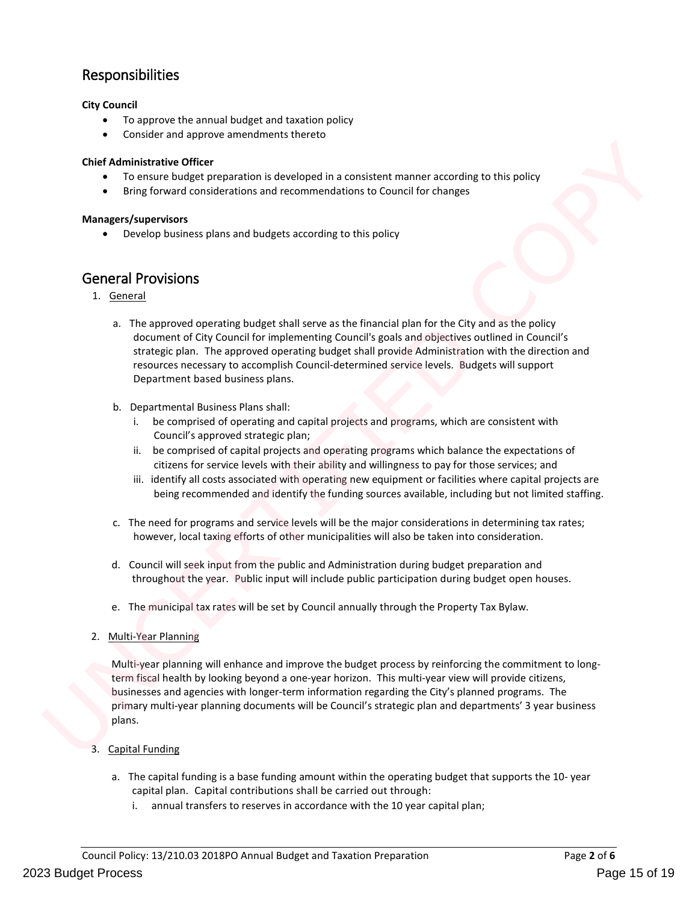# Responsibilities

### **City Council**

- To approve the annual budget and taxation policy
- Consider and approve amendments thereto

#### **Chief Administrative Officer**

- To ensure budget preparation is developed in a consistent manner according to this policy
- Bring forward considerations and recommendations to Council for changes

#### **Managers/supervisors**

• Develop business plans and budgets according to this policy

# General Provisions

- 1. General
	- a. The approved operating budget shall serve as the financial plan for the City and as the policy document of City Council for implementing Council's goals and objectives outlined in Council's strategic plan. The approved operating budget shall provide Administration with the direction and resources necessary to accomplish Council-determined service levels. Budgets will support Department based business plans.
	- b. Departmental Business Plans shall:
		- i. be comprised of operating and capital projects and programs, which are consistent with Council's approved strategic plan;
		- ii. be comprised of capital projects and operating programs which balance the expectations of citizens for service levels with their ability and willingness to pay for those services; and
		- iii. identify all costs associated with operating new equipment or facilities where capital projects are being recommended and identify the funding sources available, including but not limited staffing.
	- c. The need for programs and service levels will be the major considerations in determining tax rates; however, local taxing efforts of other municipalities will also be taken into consideration.
	- d. Council will seek input from the public and Administration during budget preparation and throughout the year. Public input will include public participation during budget open houses.
	- e. The municipal tax rates will be set by Council annually through the Property Tax Bylaw.
- 2. Multi-Year Planning

Multi-year planning will enhance and improve the budget process by reinforcing the commitment to longterm fiscal health by looking beyond a one-year horizon. This multi-year view will provide citizens, businesses and agencies with longer-term information regarding the City's planned programs. The primary multi-year planning documents will be Council's strategic plan and departments' 3 year business plans. Chief Administrative Officer<br>
• To exacut budget preparation is developed in a consistent manner according to this policy<br>
• Dring forward considerations are recommensations to Council for changes<br>
Managem/supervisors<br>
• D

- 3. Capital Funding
	- a. The capital funding is a base funding amount within the operating budget that supports the 10- year capital plan. Capital contributions shall be carried out through:
		- i. annual transfers to reserves in accordance with the 10 year capital plan;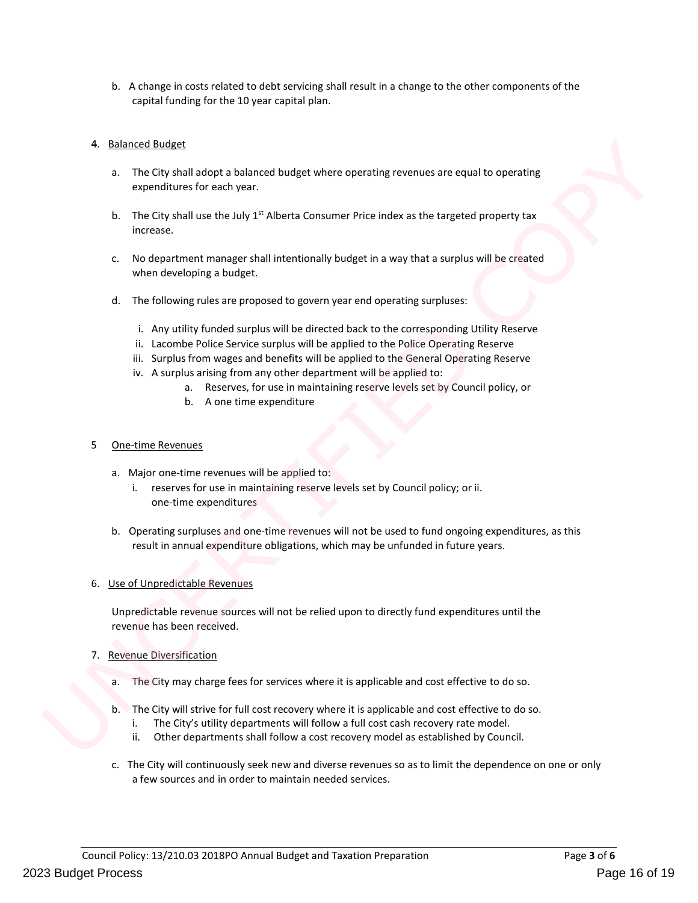b. A change in costs related to debt servicing shall result in a change to the other components of the capital funding for the 10 year capital plan.

#### 4. Balanced Budget

- a. The City shall adopt a balanced budget where operating revenues are equal to operating expenditures for each year.
- b. The City shall use the July  $1<sup>st</sup>$  Alberta Consumer Price index as the targeted property tax increase.
- c. No department manager shall intentionally budget in a way that a surplus will be created when developing a budget. qual to operating<br>
ted property tax<br>
lus will be created<br>
...<br>
g Utility Reserve
- d. The following rules are proposed to govern year end operating surpluses:
	- i. Any utility funded surplus will be directed back to the corresponding Utility Reserve
	- ii. Lacombe Police Service surplus will be applied to the Police Operating Reserve
	- iii. Surplus from wages and benefits will be applied to the General Operating Reserve
	- iv. A surplus arising from any other department will be applied to:
		- a. Reserves, for use in maintaining reserve levels set by Council policy, or
		- b. A one time expenditure

#### 5 One-time Revenues

- a. Major one-time revenues will be applied to:
	- i. reserves for use in maintaining reserve levels set by Council policy; or ii. one-time expenditures
- b. Operating surpluses and one-time revenues will not be used to fund ongoing expenditures, as this result in annual expenditure obligations, which may be unfunded in future years.

#### 6. Use of Unpredictable Revenues

Unpredictable revenue sources will not be relied upon to directly fund expenditures until the revenue has been received. i. Any utility funded surplus will be alrected back to the corresponding Utility Rr ii. Locombe Police Service surplus will be applied to the folice Operating Reservice Surfat in Surplus from wages and benefits will be app

#### 7. Revenue Diversification

- a. The City may charge fees for services where it is applicable and cost effective to do so.
- b. The City will strive for full cost recovery where it is applicable and cost effective to do so.
	- i. The City's utility departments will follow a full cost cash recovery rate model.
	- ii. Other departments shall follow a cost recovery model as established by Council.
- c. The City will continuously seek new and diverse revenues so as to limit the dependence on one or only a few sources and in order to maintain needed services.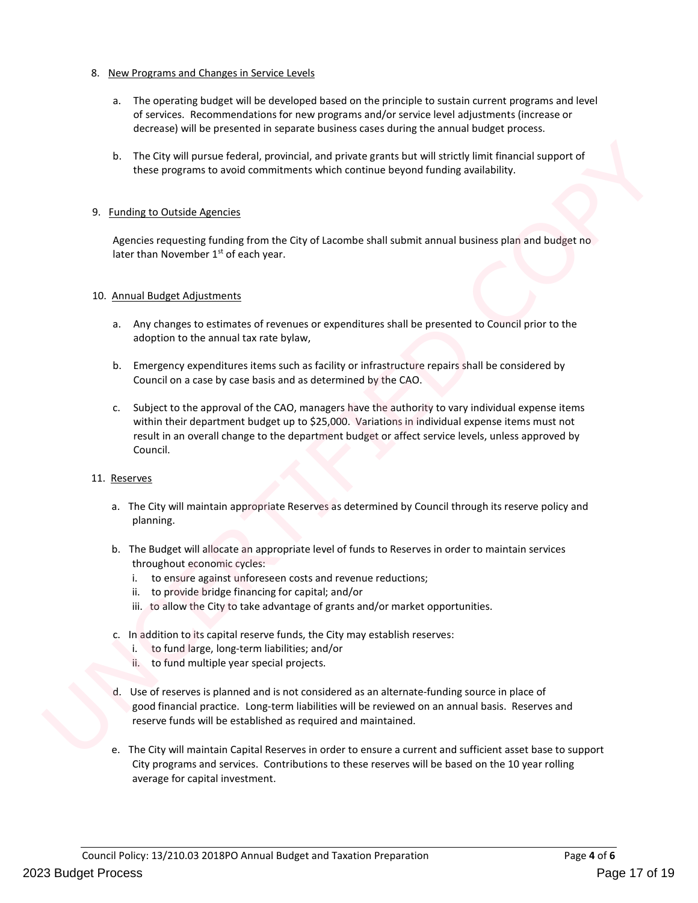#### 8. New Programs and Changes in Service Levels

- a. The operating budget will be developed based on the principle to sustain current programs and level of services. Recommendations for new programs and/or service level adjustments (increase or decrease) will be presented in separate business cases during the annual budget process.
- b. The City will pursue federal, provincial, and private grants but will strictly limit financial support of these programs to avoid commitments which continue beyond funding availability.

#### 9. Funding to Outside Agencies

Agencies requesting funding from the City of Lacombe shall submit annual business plan and budget no later than November 1<sup>st</sup> of each year. ly limit financial support of<br>availability.<br>pusiness plan and budget no<br>ed to Council prior to the

#### 10. Annual Budget Adjustments

- a. Any changes to estimates of revenues or expenditures shall be presented to Council prior to the adoption to the annual tax rate bylaw,
- b. Emergency expenditures items such as facility or infrastructure repairs shall be considered by Council on a case by case basis and as determined by the CAO.
- c. Subject to the approval of the CAO, managers have the authority to vary individual expense items within their department budget up to \$25,000. Variations in individual expense items must not result in an overall change to the department budget or affect service levels, unless approved by Council. a. Any changes to estimates of revenues or expenditures shall be presented to Couna<br>adoption to the annual tax rate bylaw,<br>b. Emergency expenditures tiems such as facility or infrastructure repairs shall be co<br>council on a

#### 11. Reserves

- a. The City will maintain appropriate Reserves as determined by Council through its reserve policy and planning.
- b. The Budget will allocate an appropriate level of funds to Reserves in order to maintain services throughout economic cycles:
	- i. to ensure against unforeseen costs and revenue reductions;
	- ii. to provide bridge financing for capital; and/or
	- iii. to allow the City to take advantage of grants and/or market opportunities.
- c. In addition to its capital reserve funds, the City may establish reserves:
	- i. to fund large, long-term liabilities; and/or
	- ii. to fund multiple year special projects.
- d. Use of reserves is planned and is not considered as an alternate-funding source in place of good financial practice. Long-term liabilities will be reviewed on an annual basis. Reserves and reserve funds will be established as required and maintained.
- e. The City will maintain Capital Reserves in order to ensure a current and sufficient asset base to support City programs and services. Contributions to these reserves will be based on the 10 year rolling average for capital investment.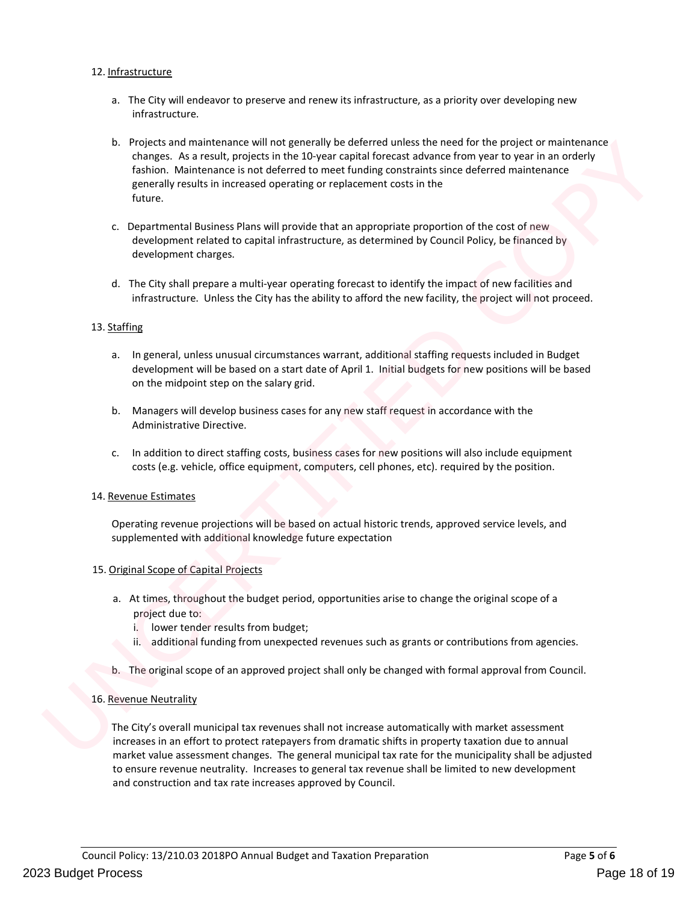#### 12. Infrastructure

- a. The City will endeavor to preserve and renew its infrastructure, as a priority over developing new infrastructure.
- b. Projects and maintenance will not generally be deferred unless the need for the project or maintenance changes. As a result, projects in the 10-year capital forecast advance from year to year in an orderly fashion. Maintenance is not deferred to meet funding constraints since deferred maintenance generally results in increased operating or replacement costs in the future. I for the project or maintenance<br>om year to year in an orderly<br>deferred maintenance<br>of the cost of new<br>Policy, be financed by<br>act of new facilities and<br>the project will not proceed.
- c. Departmental Business Plans will provide that an appropriate proportion of the cost of new development related to capital infrastructure, as determined by Council Policy, be financed by development charges.
- d. The City shall prepare a multi-year operating forecast to identify the impact of new facilities and infrastructure. Unless the City has the ability to afford the new facility, the project will not proceed.

#### 13. Staffing

- a. In general, unless unusual circumstances warrant, additional staffing requests included in Budget development will be based on a start date of April 1. Initial budgets for new positions will be based on the midpoint step on the salary grid. 13. Staffing<br>
a. In general, unless unusual circumstances warrant, additional staffing requests included<br>
development will be based on a start date of April 1. Initial budgets for new position to the midpoint step on the s
	- b. Managers will develop business cases for any new staff request in accordance with the Administrative Directive.
	- c. In addition to direct staffing costs, business cases for new positions will also include equipment costs (e.g. vehicle, office equipment, computers, cell phones, etc). required by the position.

#### 14. Revenue Estimates

Operating revenue projections will be based on actual historic trends, approved service levels, and supplemented with additional knowledge future expectation

#### 15. Original Scope of Capital Projects

- a. At times, throughout the budget period, opportunities arise to change the original scope of a project due to:
	- i. lower tender results from budget;
	- ii. additional funding from unexpected revenues such as grants or contributions from agencies.
- b. The original scope of an approved project shall only be changed with formal approval from Council.

#### 16. Revenue Neutrality

The City's overall municipal tax revenues shall not increase automatically with market assessment increases in an effort to protect ratepayers from dramatic shifts in property taxation due to annual market value assessment changes. The general municipal tax rate for the municipality shall be adjusted to ensure revenue neutrality. Increases to general tax revenue shall be limited to new development and construction and tax rate increases approved by Council.